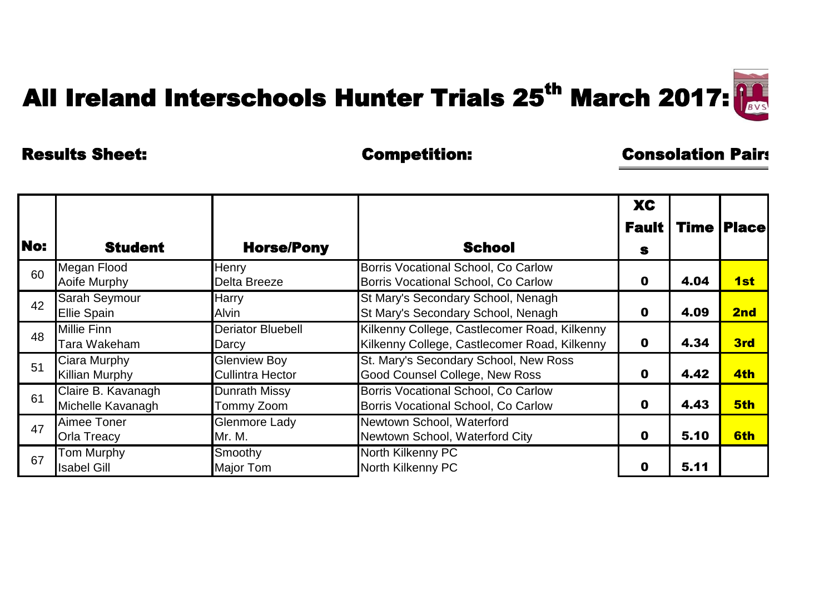## All Ireland Interschools Hunter Trials 25<sup>th</sup> March 2017:

## Results Sheet: Competition: Consolation Pairs:

| <b>No:</b> | <b>Student</b>                             | <b>Horse/Pony</b>                              | <b>School</b>                                                                                | <b>XC</b><br><b>Fault  </b><br>S |      | <b>Time   Place </b> |
|------------|--------------------------------------------|------------------------------------------------|----------------------------------------------------------------------------------------------|----------------------------------|------|----------------------|
| 60         | Megan Flood<br>Aoife Murphy                | Henry<br>Delta Breeze                          | Borris Vocational School, Co Carlow<br>Borris Vocational School, Co Carlow                   | $\mathbf 0$                      | 4.04 | 1st                  |
| 42         | <b>Sarah Seymour</b><br><b>Ellie Spain</b> | Harry<br><b>Alvin</b>                          | St Mary's Secondary School, Nenagh<br>St Mary's Secondary School, Nenagh                     | $\mathbf 0$                      | 4.09 | 2nd                  |
| 48         | <b>Millie Finn</b><br>Tara Wakeham         | <b>Deriator Bluebell</b><br>Darcy              | Kilkenny College, Castlecomer Road, Kilkenny<br>Kilkenny College, Castlecomer Road, Kilkenny | $\mathbf 0$                      | 4.34 | 3rd                  |
| 51         | Ciara Murphy<br><b>Killian Murphy</b>      | <b>Glenview Boy</b><br><b>Cullintra Hector</b> | St. Mary's Secondary School, New Ross<br><b>Good Counsel College, New Ross</b>               | $\mathbf 0$                      | 4.42 | 4th                  |
| 61         | Claire B. Kavanagh<br>Michelle Kavanagh    | <b>Dunrath Missy</b><br>Tommy Zoom             | Borris Vocational School, Co Carlow<br>Borris Vocational School, Co Carlow                   | $\mathbf 0$                      | 4.43 | 5th                  |
| 47         | Aimee Toner<br><b>Orla Treacy</b>          | <b>Glenmore Lady</b><br>Mr. M.                 | Newtown School, Waterford<br>Newtown School, Waterford City                                  | $\mathbf 0$                      | 5.10 | 6th                  |
| 67         | Tom Murphy<br><b>Isabel Gill</b>           | Smoothy<br><b>Major Tom</b>                    | North Kilkenny PC<br>North Kilkenny PC                                                       | 0                                | 5.11 |                      |

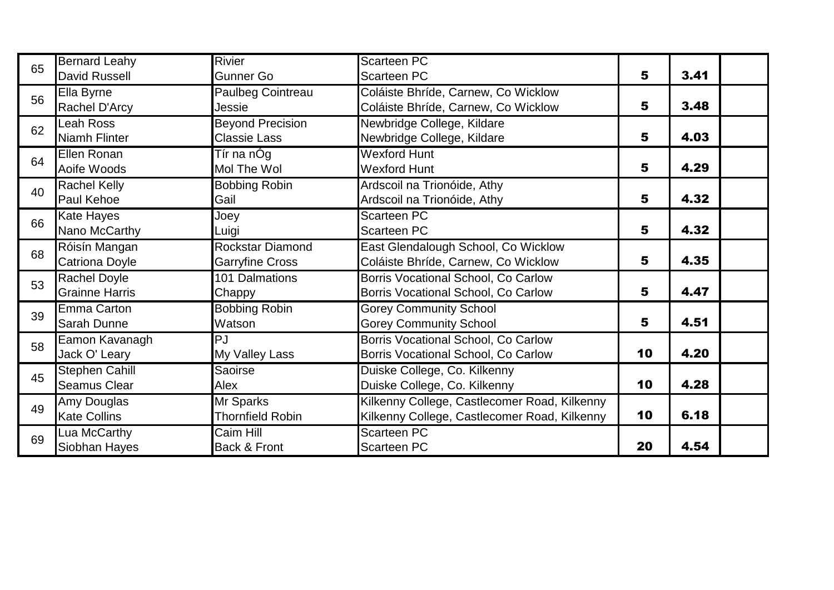| 65 | <b>Bernard Leahy</b>  | <b>Rivier</b>           | Scarteen PC                                  |    |      |
|----|-----------------------|-------------------------|----------------------------------------------|----|------|
|    | <b>David Russell</b>  | Gunner Go               | Scarteen PC                                  | 5  | 3.41 |
| 56 | Ella Byrne            | Paulbeg Cointreau       | Coláiste Bhríde, Carnew, Co Wicklow          |    |      |
|    | Rachel D'Arcy         | Jessie                  | Coláiste Bhríde, Carnew, Co Wicklow          | 5  | 3.48 |
| 62 | Leah Ross             | <b>Beyond Precision</b> | Newbridge College, Kildare                   |    |      |
|    | Niamh Flinter         | <b>Classie Lass</b>     | Newbridge College, Kildare                   | 5  | 4.03 |
| 64 | Ellen Ronan           | Tír na nÓg              | <b>Wexford Hunt</b>                          |    |      |
|    | Aoife Woods           | Mol The Wol             | <b>Wexford Hunt</b>                          | 5  | 4.29 |
| 40 | <b>Rachel Kelly</b>   | <b>Bobbing Robin</b>    | Ardscoil na Trionóide, Athy                  |    |      |
|    | Paul Kehoe            | Gail                    | Ardscoil na Trionóide, Athy                  | 5  | 4.32 |
| 66 | <b>Kate Hayes</b>     | Joey                    | Scarteen PC                                  |    |      |
|    | Nano McCarthy         | Luigi                   | Scarteen PC                                  | 5  | 4.32 |
| 68 | Róisín Mangan         | <b>Rockstar Diamond</b> | East Glendalough School, Co Wicklow          |    |      |
|    | <b>Catriona Doyle</b> | <b>Garryfine Cross</b>  | Coláiste Bhríde, Carnew, Co Wicklow          | 5  | 4.35 |
| 53 | <b>Rachel Doyle</b>   | 101 Dalmations          | Borris Vocational School, Co Carlow          |    |      |
|    | <b>Grainne Harris</b> | Chappy                  | Borris Vocational School, Co Carlow          | 5  | 4.47 |
| 39 | Emma Carton           | <b>Bobbing Robin</b>    | <b>Gorey Community School</b>                |    |      |
|    | <b>Sarah Dunne</b>    | Watson                  | <b>Gorey Community School</b>                | 5  | 4.51 |
| 58 | Eamon Kavanagh        | PJ                      | Borris Vocational School, Co Carlow          |    |      |
|    | Jack O' Leary         | My Valley Lass          | Borris Vocational School, Co Carlow          | 10 | 4.20 |
| 45 | <b>Stephen Cahill</b> | <b>Saoirse</b>          | Duiske College, Co. Kilkenny                 |    |      |
|    | <b>Seamus Clear</b>   | Alex                    | Duiske College, Co. Kilkenny                 | 10 | 4.28 |
| 49 | Amy Douglas           | Mr Sparks               | Kilkenny College, Castlecomer Road, Kilkenny |    |      |
|    | <b>Kate Collins</b>   | <b>Thornfield Robin</b> | Kilkenny College, Castlecomer Road, Kilkenny | 10 | 6.18 |
| 69 | Lua McCarthy          | Caim Hill               | <b>Scarteen PC</b>                           |    |      |
|    | Siobhan Hayes         | Back & Front            | Scarteen PC                                  | 20 | 4.54 |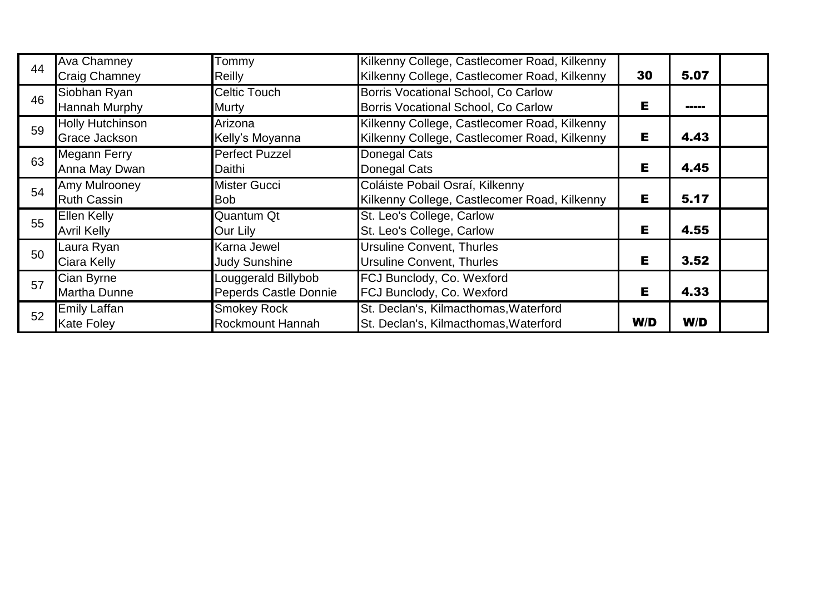| 44 | <b>Ava Chamney</b><br><b>Craig Chamney</b>      | Tommy<br>Reilly                              | Kilkenny College, Castlecomer Road, Kilkenny<br>Kilkenny College, Castlecomer Road, Kilkenny | 30  | 5.07  |  |
|----|-------------------------------------------------|----------------------------------------------|----------------------------------------------------------------------------------------------|-----|-------|--|
| 46 | Siobhan Ryan<br><b>Hannah Murphy</b>            | <b>Celtic Touch</b><br>Murty                 | Borris Vocational School, Co Carlow<br>Borris Vocational School, Co Carlow                   | Е   | ----- |  |
| 59 | <b>Holly Hutchinson</b><br><b>Grace Jackson</b> | Arizona<br>Kelly's Moyanna                   | Kilkenny College, Castlecomer Road, Kilkenny<br>Kilkenny College, Castlecomer Road, Kilkenny | Е   | 4.43  |  |
| 63 | <b>Megann Ferry</b><br>Anna May Dwan            | <b>Perfect Puzzel</b><br>Daithi              | Donegal Cats<br>Donegal Cats                                                                 | Е   | 4.45  |  |
| 54 | Amy Mulrooney<br><b>Ruth Cassin</b>             | <b>Mister Gucci</b><br><b>Bob</b>            | Coláiste Pobail Osraí, Kilkenny<br>Kilkenny College, Castlecomer Road, Kilkenny              | Е   | 5.17  |  |
| 55 | <b>Ellen Kelly</b><br><b>Avril Kelly</b>        | Quantum Qt<br>Our Lily                       | St. Leo's College, Carlow<br>St. Leo's College, Carlow                                       | Е   | 4.55  |  |
| 50 | Laura Ryan<br>Ciara Kelly                       | Karna Jewel<br><b>Judy Sunshine</b>          | <b>Ursuline Convent, Thurles</b><br><b>Ursuline Convent, Thurles</b>                         | Е   | 3.52  |  |
| 57 | Cian Byrne<br><b>Martha Dunne</b>               | Louggerald Billybob<br>Peperds Castle Donnie | FCJ Bunclody, Co. Wexford<br>FCJ Bunclody, Co. Wexford                                       | Е   | 4.33  |  |
| 52 | <b>Emily Laffan</b><br><b>Kate Foley</b>        | <b>Smokey Rock</b><br>Rockmount Hannah       | St. Declan's, Kilmacthomas, Waterford<br>St. Declan's, Kilmacthomas, Waterford               | W/D | W/D   |  |